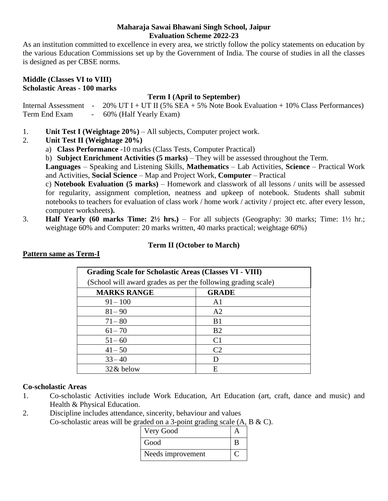#### **Maharaja Sawai Bhawani Singh School, Jaipur Evaluation Scheme 2022-23**

As an institution committed to excellence in every area, we strictly follow the policy statements on education by the various Education Commissions set up by the Government of India. The course of studies in all the classes is designed as per CBSE norms.

#### **Middle (Classes VI to VIII) Scholastic Areas - 100 marks**

## **Term I (April to September)**

Internal Assessment -  $20\%$  UT I + UT II (5% SEA + 5% Note Book Evaluation + 10% Class Performances) Term End Exam - 60% (Half Yearly Exam)

- 1. **Unit Test I (Weightage 20%)** All subjects, Computer project work.
- 2. **Unit Test II (Weightage 20%)**
	- a) **Class Performance** -10 marks (Class Tests, Computer Practical)

b) **Subject Enrichment Activities (5 marks)** – They will be assessed throughout the Term.

**Languages** – Speaking and Listening Skills, **Mathematics** – Lab Activities, **Science** – Practical Work and Activities, **Social Science** – Map and Project Work, **Computer** – Practical

c) **Notebook Evaluation (5 marks)** – Homework and classwork of all lessons / units will be assessed for regularity, assignment completion, neatness and upkeep of notebook. Students shall submit notebooks to teachers for evaluation of class work / home work / activity / project etc. after every lesson, computer worksheets**).**

3. **Half Yearly (60 marks Time: 2½ hrs.)** – For all subjects (Geography: 30 marks; Time: 1½ hr.; weightage 60% and Computer: 20 marks written, 40 marks practical; weightage 60%)

## **Term II (October to March)**

| <b>Grading Scale for Scholastic Areas (Classes VI - VIII)</b> |                |  |
|---------------------------------------------------------------|----------------|--|
| (School will award grades as per the following grading scale) |                |  |
| <b>MARKS RANGE</b>                                            | <b>GRADE</b>   |  |
| $91 - 100$                                                    | A <sub>1</sub> |  |
| $81 - 90$                                                     | A <sub>2</sub> |  |
| $71 - 80$                                                     | B <sub>1</sub> |  |
| $61 - 70$                                                     | B <sub>2</sub> |  |
| $51 - 60$                                                     | C <sub>1</sub> |  |
| $41 - 50$                                                     | C <sub>2</sub> |  |
| $33 - 40$                                                     |                |  |
| 32 & below                                                    | E              |  |

## **Pattern same as Term-I**

## **Co-scholastic Areas**

- 1. Co-scholastic Activities include Work Education, Art Education (art, craft, dance and music) and Health & Physical Education.
- 2. Discipline includes attendance, sincerity, behaviour and values Co-scholastic areas will be graded on a 3-point grading scale (A, B & C).

| Very Good         |  |
|-------------------|--|
| Good              |  |
| Needs improvement |  |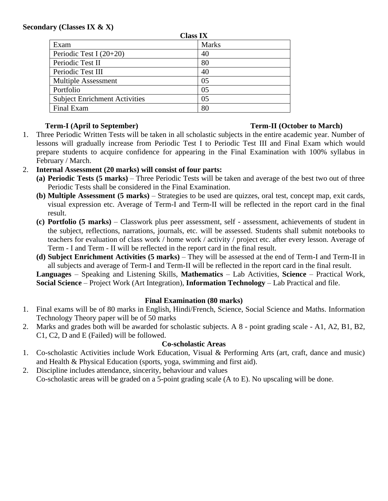### **Secondary (Classes IX & X)**

| <b>Class IX</b>                      |              |  |
|--------------------------------------|--------------|--|
| Exam                                 | <b>Marks</b> |  |
| Periodic Test I $(20+20)$            | 40           |  |
| Periodic Test II                     | 80           |  |
| Periodic Test III                    | 40           |  |
| <b>Multiple Assessment</b>           | 05           |  |
| Portfolio                            | 05           |  |
| <b>Subject Enrichment Activities</b> | 05           |  |
| Final Exam                           | 80           |  |

## **Term-I (April to September) Term-II (October to March)**

- 1. Three Periodic Written Tests will be taken in all scholastic subjects in the entire academic year. Number of lessons will gradually increase from Periodic Test I to Periodic Test III and Final Exam which would prepare students to acquire confidence for appearing in the Final Examination with 100% syllabus in February / March.
- 2. **Internal Assessment (20 marks) will consist of four parts:**
	- **(a) Periodic Tests (5 marks)** Three Periodic Tests will be taken and average of the best two out of three Periodic Tests shall be considered in the Final Examination.
	- **(b) Multiple Assessment (5 marks)** Strategies to be used are quizzes, oral test, concept map, exit cards, visual expression etc. Average of Term-I and Term-II will be reflected in the report card in the final result.
	- **(c) Portfolio (5 marks)** Classwork plus peer assessment, self assessment, achievements of student in the subject, reflections, narrations, journals, etc. will be assessed. Students shall submit notebooks to teachers for evaluation of class work / home work / activity / project etc. after every lesson. Average of Term - I and Term - II will be reflected in the report card in the final result.
	- **(d) Subject Enrichment Activities (5 marks)** They will be assessed at the end of Term-I and Term-II in all subjects and average of Term-I and Term-II will be reflected in the report card in the final result.

**Languages** – Speaking and Listening Skills, **Mathematics** – Lab Activities, **Science** – Practical Work, **Social Science** – Project Work (Art Integration), **Information Technology** – Lab Practical and file.

## **Final Examination (80 marks)**

- 1. Final exams will be of 80 marks in English, Hindi/French, Science, Social Science and Maths. Information Technology Theory paper will be of 50 marks
- 2. Marks and grades both will be awarded for scholastic subjects. A 8 point grading scale A1, A2, B1, B2, C1, C2, D and E (Failed) will be followed.

# **Co-scholastic Areas**

- 1. Co-scholastic Activities include Work Education, Visual & Performing Arts (art, craft, dance and music) and Health & Physical Education (sports, yoga, swimming and first aid).
- 2. Discipline includes attendance, sincerity, behaviour and values Co-scholastic areas will be graded on a 5-point grading scale (A to E). No upscaling will be done.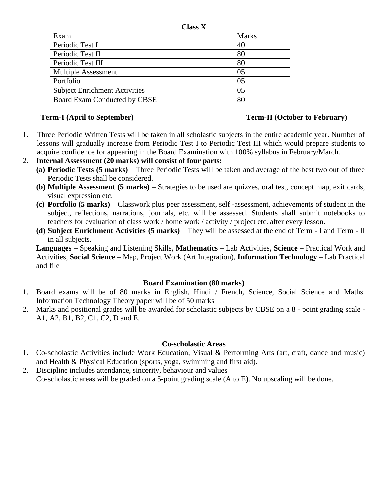| Смаээ л                              |              |
|--------------------------------------|--------------|
| Exam                                 | <b>Marks</b> |
| Periodic Test I                      | 40           |
| Periodic Test II                     | 80           |
| Periodic Test III                    | 80           |
| <b>Multiple Assessment</b>           | 05           |
| Portfolio                            | 05           |
| <b>Subject Enrichment Activities</b> | 05           |
| Board Exam Conducted by CBSE         | 80           |

## **Term-I (April to September) Term-II (October to February)**

1. Three Periodic Written Tests will be taken in all scholastic subjects in the entire academic year. Number of lessons will gradually increase from Periodic Test I to Periodic Test III which would prepare students to acquire confidence for appearing in the Board Examination with 100% syllabus in February/March.

**Class X**

- 2. **Internal Assessment (20 marks) will consist of four parts:**
	- **(a) Periodic Tests (5 marks)** Three Periodic Tests will be taken and average of the best two out of three Periodic Tests shall be considered.
	- **(b) Multiple Assessment (5 marks)** Strategies to be used are quizzes, oral test, concept map, exit cards, visual expression etc.
	- **(c) Portfolio (5 marks)** Classwork plus peer assessment, self -assessment, achievements of student in the subject, reflections, narrations, journals, etc. will be assessed. Students shall submit notebooks to teachers for evaluation of class work / home work / activity / project etc. after every lesson.
	- **(d) Subject Enrichment Activities (5 marks)** They will be assessed at the end of Term I and Term II in all subjects.

**Languages** – Speaking and Listening Skills, **Mathematics** – Lab Activities, **Science** – Practical Work and Activities, **Social Science** – Map, Project Work (Art Integration), **Information Technology** – Lab Practical and file

## **Board Examination (80 marks)**

- 1. Board exams will be of 80 marks in English, Hindi / French, Science, Social Science and Maths. Information Technology Theory paper will be of 50 marks
- 2. Marks and positional grades will be awarded for scholastic subjects by CBSE on a 8 point grading scale A1, A2, B1, B2, C1, C2, D and E.

## **Co-scholastic Areas**

- 1. Co-scholastic Activities include Work Education, Visual & Performing Arts (art, craft, dance and music) and Health & Physical Education (sports, yoga, swimming and first aid).
- 2. Discipline includes attendance, sincerity, behaviour and values Co-scholastic areas will be graded on a 5-point grading scale (A to E). No upscaling will be done.